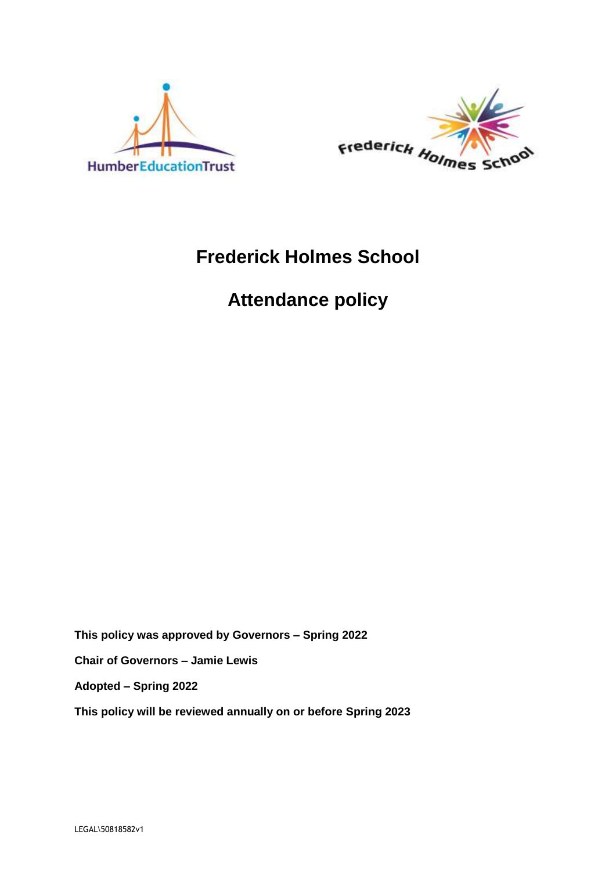



## **Frederick Holmes School**

# **Attendance policy**

**This policy was approved by Governors – Spring 2022**

**Chair of Governors – Jamie Lewis**

**Adopted – Spring 2022**

**This policy will be reviewed annually on or before Spring 2023**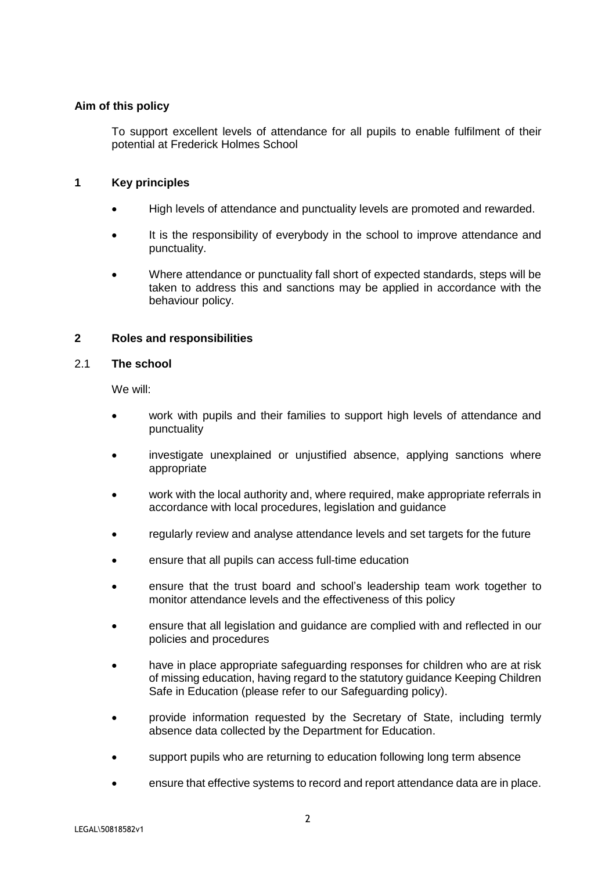#### **Aim of this policy**

To support excellent levels of attendance for all pupils to enable fulfilment of their potential at Frederick Holmes School

#### **1 Key principles**

- High levels of attendance and punctuality levels are promoted and rewarded.
- It is the responsibility of everybody in the school to improve attendance and punctuality.
- Where attendance or punctuality fall short of expected standards, steps will be taken to address this and sanctions may be applied in accordance with the behaviour policy.

#### **2 Roles and responsibilities**

#### 2.1 **The school**

We will:

- work with pupils and their families to support high levels of attendance and punctuality
- investigate unexplained or unjustified absence, applying sanctions where appropriate
- work with the local authority and, where required, make appropriate referrals in accordance with local procedures, legislation and guidance
- regularly review and analyse attendance levels and set targets for the future
- ensure that all pupils can access full-time education
- ensure that the trust board and school's leadership team work together to monitor attendance levels and the effectiveness of this policy
- ensure that all legislation and guidance are complied with and reflected in our policies and procedures
- have in place appropriate safeguarding responses for children who are at risk of missing education, having regard to the statutory guidance Keeping Children Safe in Education (please refer to our Safeguarding policy).
- provide information requested by the Secretary of State, including termly absence data collected by the Department for Education.
- support pupils who are returning to education following long term absence
- ensure that effective systems to record and report attendance data are in place.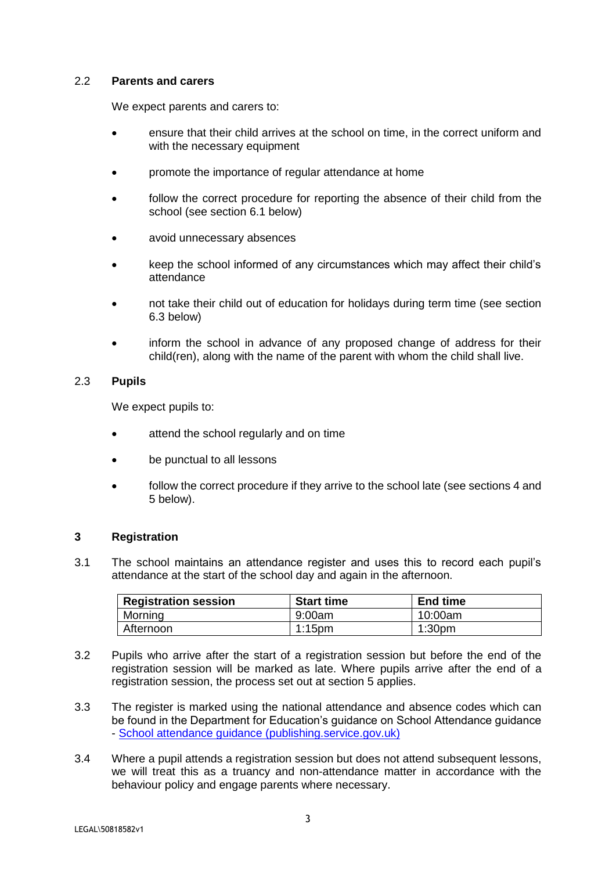#### 2.2 **Parents and carers**

We expect parents and carers to:

- ensure that their child arrives at the school on time, in the correct uniform and with the necessary equipment
- promote the importance of regular attendance at home
- follow the correct procedure for reporting the absence of their child from the school (see section 6.1 below)
- avoid unnecessary absences
- keep the school informed of any circumstances which may affect their child's attendance
- not take their child out of education for holidays during term time (see section 6.3 below)
- inform the school in advance of any proposed change of address for their child(ren), along with the name of the parent with whom the child shall live.

#### 2.3 **Pupils**

We expect pupils to:

- attend the school regularly and on time
- be punctual to all lessons
- follow the correct procedure if they arrive to the school late (see sections 4 and 5 below).

#### **3 Registration**

3.1 The school maintains an attendance register and uses this to record each pupil's attendance at the start of the school day and again in the afternoon.

| <b>Registration session</b> | <b>Start time</b> | <b>End time</b>    |
|-----------------------------|-------------------|--------------------|
| Morning                     | 9:00am            | 10:00am            |
| Afternoon                   | $1:15$ pm         | 1:30 <sub>pm</sub> |

- 3.2 Pupils who arrive after the start of a registration session but before the end of the registration session will be marked as late. Where pupils arrive after the end of a registration session, the process set out at section 5 applies.
- 3.3 The register is marked using the national attendance and absence codes which can be found in the Department for Education's guidance on School Attendance guidance - [School attendance guidance \(publishing.service.gov.uk\)](https://assets.publishing.service.gov.uk/government/uploads/system/uploads/attachment_data/file/907535/School_attendance_guidance_for_2020_to_2021_academic_year.pdf)
- 3.4 Where a pupil attends a registration session but does not attend subsequent lessons, we will treat this as a truancy and non-attendance matter in accordance with the behaviour policy and engage parents where necessary.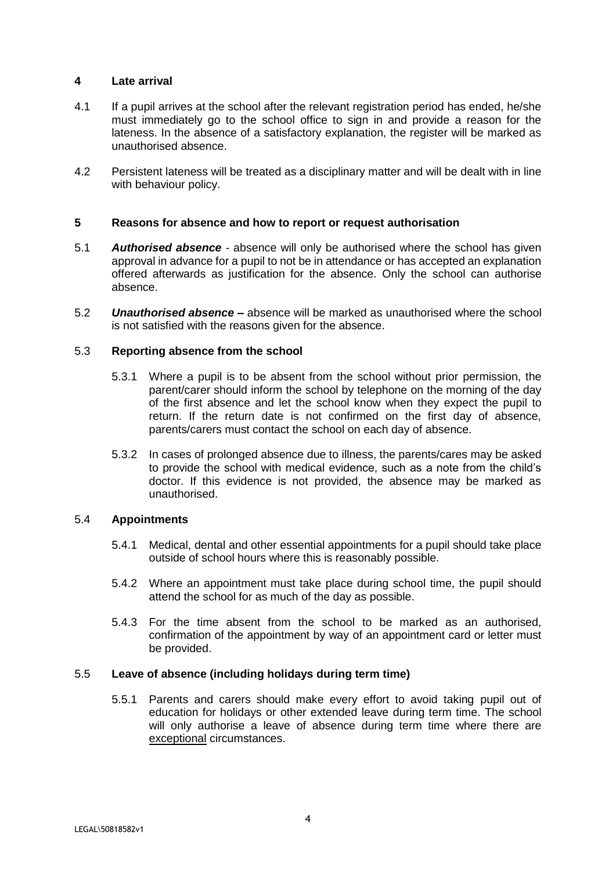#### **4 Late arrival**

- 4.1 If a pupil arrives at the school after the relevant registration period has ended, he/she must immediately go to the school office to sign in and provide a reason for the lateness. In the absence of a satisfactory explanation, the register will be marked as unauthorised absence.
- 4.2 Persistent lateness will be treated as a disciplinary matter and will be dealt with in line with behaviour policy.

#### **5 Reasons for absence and how to report or request authorisation**

- 5.1 *Authorised absence* absence will only be authorised where the school has given approval in advance for a pupil to not be in attendance or has accepted an explanation offered afterwards as justification for the absence. Only the school can authorise absence.
- 5.2 *Unauthorised absence –* absence will be marked as unauthorised where the school is not satisfied with the reasons given for the absence.

#### 5.3 **Reporting absence from the school**

- 5.3.1 Where a pupil is to be absent from the school without prior permission, the parent/carer should inform the school by telephone on the morning of the day of the first absence and let the school know when they expect the pupil to return. If the return date is not confirmed on the first day of absence, parents/carers must contact the school on each day of absence.
- 5.3.2 In cases of prolonged absence due to illness, the parents/cares may be asked to provide the school with medical evidence, such as a note from the child's doctor. If this evidence is not provided, the absence may be marked as unauthorised.

#### 5.4 **Appointments**

- 5.4.1 Medical, dental and other essential appointments for a pupil should take place outside of school hours where this is reasonably possible.
- 5.4.2 Where an appointment must take place during school time, the pupil should attend the school for as much of the day as possible.
- 5.4.3 For the time absent from the school to be marked as an authorised, confirmation of the appointment by way of an appointment card or letter must be provided.

#### 5.5 **Leave of absence (including holidays during term time)**

5.5.1 Parents and carers should make every effort to avoid taking pupil out of education for holidays or other extended leave during term time. The school will only authorise a leave of absence during term time where there are exceptional circumstances.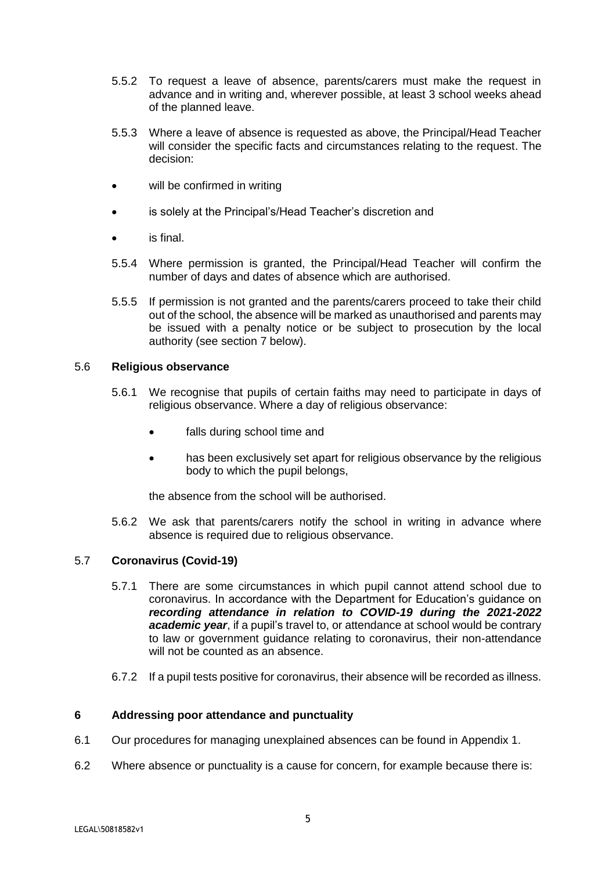- 5.5.2 To request a leave of absence, parents/carers must make the request in advance and in writing and, wherever possible, at least 3 school weeks ahead of the planned leave.
- 5.5.3 Where a leave of absence is requested as above, the Principal/Head Teacher will consider the specific facts and circumstances relating to the request. The decision:
- will be confirmed in writing
- is solely at the Principal's/Head Teacher's discretion and
- is final.
- 5.5.4 Where permission is granted, the Principal/Head Teacher will confirm the number of days and dates of absence which are authorised.
- 5.5.5 If permission is not granted and the parents/carers proceed to take their child out of the school, the absence will be marked as unauthorised and parents may be issued with a penalty notice or be subject to prosecution by the local authority (see section 7 below).

#### 5.6 **Religious observance**

- 5.6.1 We recognise that pupils of certain faiths may need to participate in days of religious observance. Where a day of religious observance:
	- falls during school time and
	- has been exclusively set apart for religious observance by the religious body to which the pupil belongs,

the absence from the school will be authorised.

5.6.2 We ask that parents/carers notify the school in writing in advance where absence is required due to religious observance.

#### 5.7 **Coronavirus (Covid-19)**

- 5.7.1 There are some circumstances in which pupil cannot attend school due to coronavirus. In accordance with the Department for Education's guidance on *recording attendance in relation to COVID-19 during the 2021-2022*  academic year, if a pupil's travel to, or attendance at school would be contrary to law or government guidance relating to coronavirus, their non-attendance will not be counted as an absence.
- 6.7.2 If a pupil tests positive for coronavirus, their absence will be recorded as illness.

#### **6 Addressing poor attendance and punctuality**

- 6.1 Our procedures for managing unexplained absences can be found in Appendix 1.
- 6.2 Where absence or punctuality is a cause for concern, for example because there is: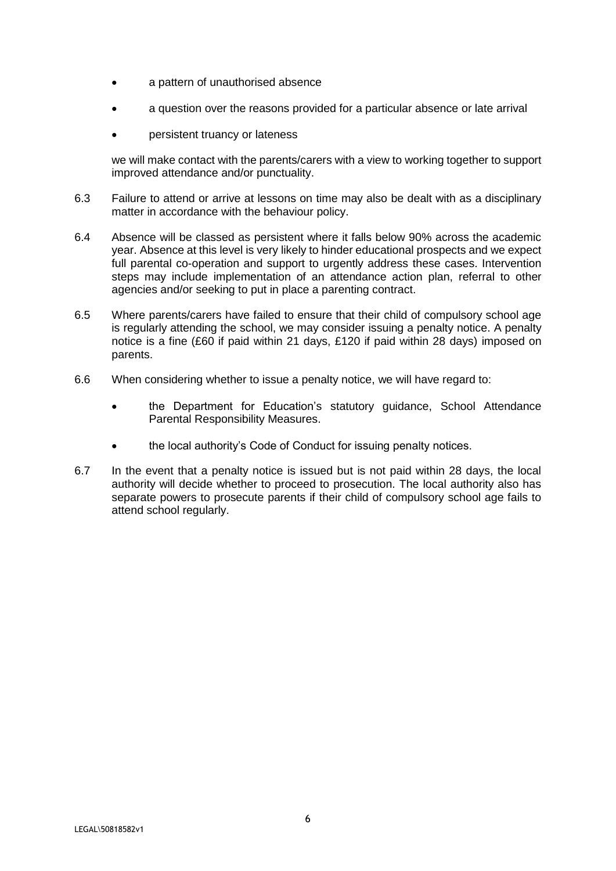- a pattern of unauthorised absence
- a question over the reasons provided for a particular absence or late arrival
- persistent truancy or lateness

we will make contact with the parents/carers with a view to working together to support improved attendance and/or punctuality.

- 6.3 Failure to attend or arrive at lessons on time may also be dealt with as a disciplinary matter in accordance with the behaviour policy.
- 6.4 Absence will be classed as persistent where it falls below 90% across the academic year. Absence at this level is very likely to hinder educational prospects and we expect full parental co-operation and support to urgently address these cases. Intervention steps may include implementation of an attendance action plan, referral to other agencies and/or seeking to put in place a parenting contract.
- 6.5 Where parents/carers have failed to ensure that their child of compulsory school age is regularly attending the school, we may consider issuing a penalty notice. A penalty notice is a fine (£60 if paid within 21 days, £120 if paid within 28 days) imposed on parents.
- 6.6 When considering whether to issue a penalty notice, we will have regard to:
	- the Department for Education's statutory guidance, School Attendance Parental Responsibility Measures.
	- the local authority's Code of Conduct for issuing penalty notices.
- 6.7 In the event that a penalty notice is issued but is not paid within 28 days, the local authority will decide whether to proceed to prosecution. The local authority also has separate powers to prosecute parents if their child of compulsory school age fails to attend school regularly.